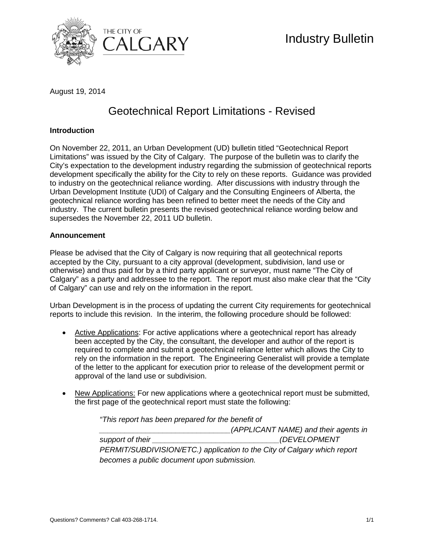

August 19, 2014

## Geotechnical Report Limitations - Revised

## **Introduction**

On November 22, 2011, an Urban Development (UD) bulletin titled "Geotechnical Report Limitations" was issued by the City of Calgary. The purpose of the bulletin was to clarify the City's expectation to the development industry regarding the submission of geotechnical reports development specifically the ability for the City to rely on these reports. Guidance was provided to industry on the geotechnical reliance wording. After discussions with industry through the Urban Development Institute (UDI) of Calgary and the Consulting Engineers of Alberta, the geotechnical reliance wording has been refined to better meet the needs of the City and industry. The current bulletin presents the revised geotechnical reliance wording below and supersedes the November 22, 2011 UD bulletin.

## **Announcement**

Please be advised that the City of Calgary is now requiring that all geotechnical reports accepted by the City, pursuant to a city approval (development, subdivision, land use or otherwise) and thus paid for by a third party applicant or surveyor, must name "The City of Calgary" as a party and addressee to the report. The report must also make clear that the "City of Calgary" can use and rely on the information in the report.

Urban Development is in the process of updating the current City requirements for geotechnical reports to include this revision. In the interim, the following procedure should be followed:

- Active Applications: For active applications where a geotechnical report has already been accepted by the City, the consultant, the developer and author of the report is required to complete and submit a geotechnical reliance letter which allows the City to rely on the information in the report. The Engineering Generalist will provide a template of the letter to the applicant for execution prior to release of the development permit or approval of the land use or subdivision.
- New Applications: For new applications where a geotechnical report must be submitted, the first page of the geotechnical report must state the following:

*"This report has been prepared for the benefit of* 

*\_\_\_\_\_\_\_\_\_\_\_\_\_\_\_\_\_\_\_\_\_\_\_\_\_\_\_\_\_\_\_(APPLICANT NAME) and their agents in*  support of their  $(DEVELOPMENT)$ *PERMIT/SUBDIVISION/ETC.) application to the City of Calgary which report becomes a public document upon submission.*